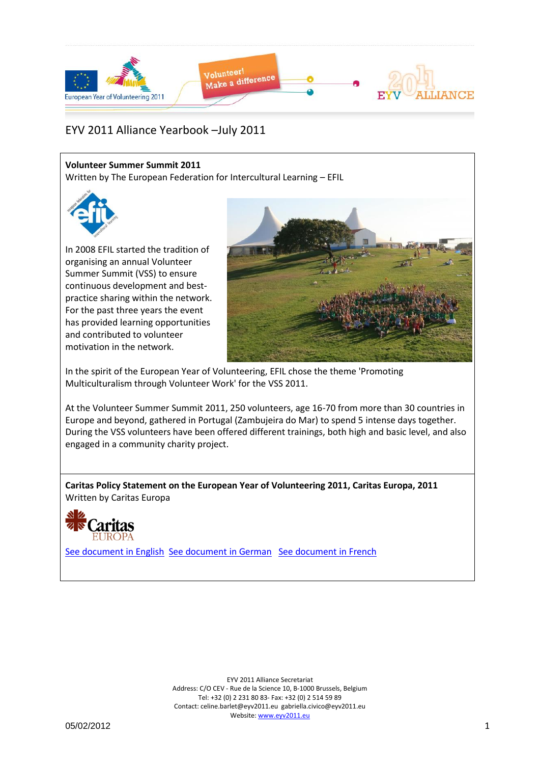

#### **Volunteer Summer Summit 2011**

Written by The European Federation for Intercultural Learning – EFIL



In 2008 EFIL started the tradition of organising an annual Volunteer Summer Summit (VSS) to ensure continuous development and bestpractice sharing within the network. For the past three years the event has provided learning opportunities and contributed to volunteer motivation in the network.



In the spirit of the European Year of Volunteering, EFIL chose the theme 'Promoting Multiculturalism through Volunteer Work' for the VSS 2011.

At the Volunteer Summer Summit 2011, 250 volunteers, age 16-70 from more than 30 countries in Europe and beyond, gathered in Portugal (Zambujeira do Mar) to spend 5 intense days together. During the VSS volunteers have been offered different trainings, both high and basic level, and also engaged in a community charity project.

**Caritas Policy Statement on the European Year of Volunteering 2011, Caritas Europa, 2011** Written by Caritas Europa



[See document](file:///F:/EYV2011Alliance_Yearbook_07_2011/Yearbook_Jul2011_Docs/530_Policy_statement_EY2011_volunteering_FINAL_Caritas.pdf) in English [See document](Yearbook_Jul2011_Docs/530_Stellungnahme_EJ2011_Freiwilligenttigkeit_FINAL_Caritas.pdf) in German [See document](Yearbook_Jul2011_Docs/530_Positionnement_AE2011_benevolat_volontariat_FINAL_Caritas.pdf) in French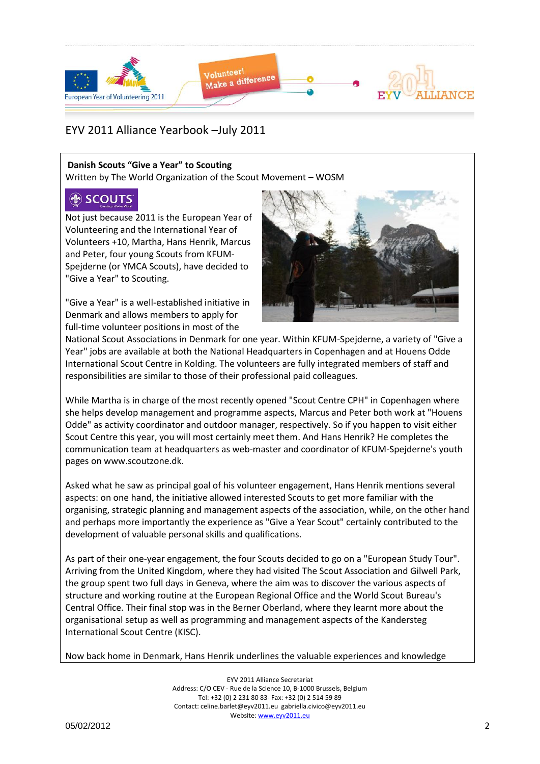

### **Danish Scouts "Give a Year" to Scouting**

Written by The World Organization of the Scout Movement – WOSM

# (the SCOUTS

Not just because 2011 is the European Year of Volunteering and the International Year of Volunteers +10, Martha, Hans Henrik, Marcus and Peter, four young Scouts from KFUM-Spejderne (or YMCA Scouts), have decided to "Give a Year" to Scouting.

"Give a Year" is a well-established initiative in Denmark and allows members to apply for full-time volunteer positions in most of the



National Scout Associations in Denmark for one year. Within KFUM-Spejderne, a variety of "Give a Year" jobs are available at both the National Headquarters in Copenhagen and at Houens Odde International Scout Centre in Kolding. The volunteers are fully integrated members of staff and responsibilities are similar to those of their professional paid colleagues.

While Martha is in charge of the most recently opened "Scout Centre CPH" in Copenhagen where she helps develop management and programme aspects, Marcus and Peter both work at "Houens Odde" as activity coordinator and outdoor manager, respectively. So if you happen to visit either Scout Centre this year, you will most certainly meet them. And Hans Henrik? He completes the communication team at headquarters as web-master and coordinator of KFUM-Spejderne's youth pages on www.scoutzone.dk.

Asked what he saw as principal goal of his volunteer engagement, Hans Henrik mentions several aspects: on one hand, the initiative allowed interested Scouts to get more familiar with the organising, strategic planning and management aspects of the association, while, on the other hand and perhaps more importantly the experience as "Give a Year Scout" certainly contributed to the development of valuable personal skills and qualifications.

As part of their one-year engagement, the four Scouts decided to go on a "European Study Tour". Arriving from the United Kingdom, where they had visited The Scout Association and Gilwell Park, the group spent two full days in Geneva, where the aim was to discover the various aspects of structure and working routine at the European Regional Office and the World Scout Bureau's Central Office. Their final stop was in the Berner Oberland, where they learnt more about the organisational setup as well as programming and management aspects of the Kandersteg International Scout Centre (KISC).

Now back home in Denmark, Hans Henrik underlines the valuable experiences and knowledge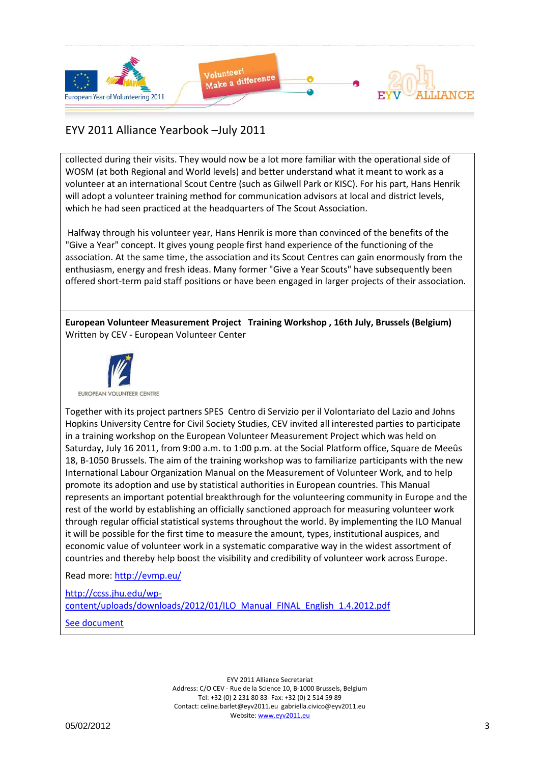

collected during their visits. They would now be a lot more familiar with the operational side of WOSM (at both Regional and World levels) and better understand what it meant to work as a volunteer at an international Scout Centre (such as Gilwell Park or KISC). For his part, Hans Henrik will adopt a volunteer training method for communication advisors at local and district levels, which he had seen practiced at the headquarters of The Scout Association.

Halfway through his volunteer year, Hans Henrik is more than convinced of the benefits of the "Give a Year" concept. It gives young people first hand experience of the functioning of the association. At the same time, the association and its Scout Centres can gain enormously from the enthusiasm, energy and fresh ideas. Many former "Give a Year Scouts" have subsequently been offered short-term paid staff positions or have been engaged in larger projects of their association.

**European Volunteer Measurement Project Training Workshop , 16th July, Brussels (Belgium)** Written by CEV - European Volunteer Center



Together with its project partners SPES Centro di Servizio per il Volontariato del Lazio and Johns Hopkins University Centre for Civil Society Studies, CEV invited all interested parties to participate in a training workshop on the European Volunteer Measurement Project which was held on Saturday, July 16 2011, from 9:00 a.m. to 1:00 p.m. at the Social Platform office, Square de Meeûs 18, B-1050 Brussels. The aim of the training workshop was to familiarize participants with the new International Labour Organization Manual on the Measurement of Volunteer Work, and to help promote its adoption and use by statistical authorities in European countries. This Manual represents an important potential breakthrough for the volunteering community in Europe and the rest of the world by establishing an officially sanctioned approach for measuring volunteer work through regular official statistical systems throughout the world. By implementing the ILO Manual it will be possible for the first time to measure the amount, types, institutional auspices, and economic value of volunteer work in a systematic comparative way in the widest assortment of countries and thereby help boost the visibility and credibility of volunteer work across Europe.

Read more:<http://evmp.eu/>

[http://ccss.jhu.edu/wp](http://ccss.jhu.edu/wp-content/uploads/downloads/2012/01/ILO_Manual_FINAL_English_1.4.2012.pdf)[content/uploads/downloads/2012/01/ILO\\_Manual\\_FINAL\\_English\\_1.4.2012.pdf](http://ccss.jhu.edu/wp-content/uploads/downloads/2012/01/ILO_Manual_FINAL_English_1.4.2012.pdf) [See document](Yearbook_Jul2011_Docs/ILO_Manual_FINAL_English_1.4.2012.pdf)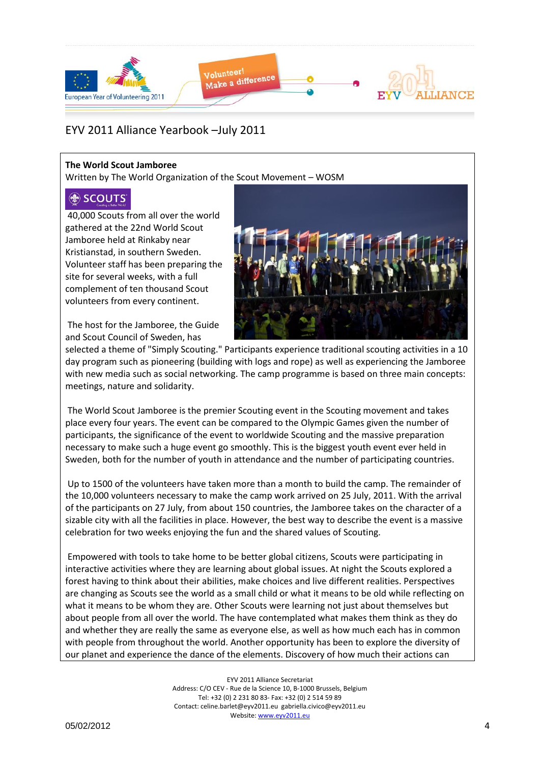

### **The World Scout Jamboree**

Written by The World Organization of the Scout Movement – WOSM

## (the SCOUTS

40,000 Scouts from all over the world gathered at the 22nd World Scout Jamboree held at Rinkaby near Kristianstad, in southern Sweden. Volunteer staff has been preparing the site for several weeks, with a full complement of ten thousand Scout volunteers from every continent.

The host for the Jamboree, the Guide and Scout Council of Sweden, has



selected a theme of "Simply Scouting." Participants experience traditional scouting activities in a 10 day program such as pioneering (building with logs and rope) as well as experiencing the Jamboree with new media such as social networking. The camp programme is based on three main concepts: meetings, nature and solidarity.

The World Scout Jamboree is the premier Scouting event in the Scouting movement and takes place every four years. The event can be compared to the Olympic Games given the number of participants, the significance of the event to worldwide Scouting and the massive preparation necessary to make such a huge event go smoothly. This is the biggest youth event ever held in Sweden, both for the number of youth in attendance and the number of participating countries.

Up to 1500 of the volunteers have taken more than a month to build the camp. The remainder of the 10,000 volunteers necessary to make the camp work arrived on 25 July, 2011. With the arrival of the participants on 27 July, from about 150 countries, the Jamboree takes on the character of a sizable city with all the facilities in place. However, the best way to describe the event is a massive celebration for two weeks enjoying the fun and the shared values of Scouting.

Empowered with tools to take home to be better global citizens, Scouts were participating in interactive activities where they are learning about global issues. At night the Scouts explored a forest having to think about their abilities, make choices and live different realities. Perspectives are changing as Scouts see the world as a small child or what it means to be old while reflecting on what it means to be whom they are. Other Scouts were learning not just about themselves but about people from all over the world. The have contemplated what makes them think as they do and whether they are really the same as everyone else, as well as how much each has in common with people from throughout the world. Another opportunity has been to explore the diversity of our planet and experience the dance of the elements. Discovery of how much their actions can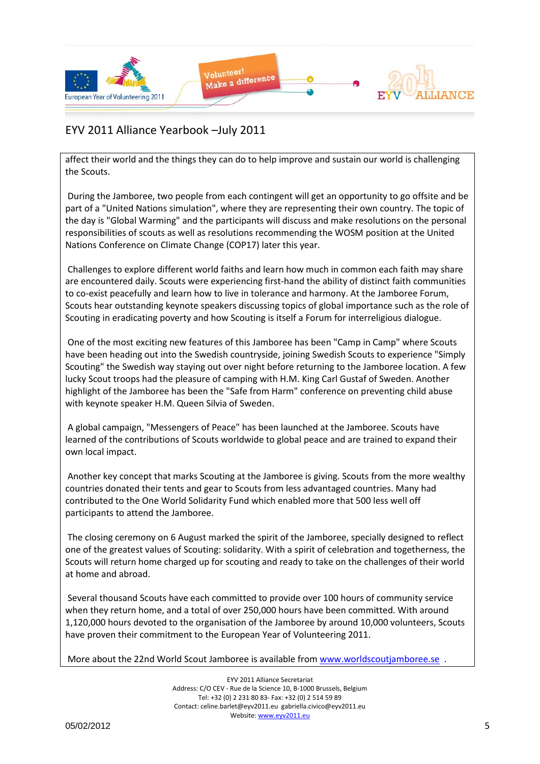

affect their world and the things they can do to help improve and sustain our world is challenging the Scouts.

During the Jamboree, two people from each contingent will get an opportunity to go offsite and be part of a "United Nations simulation", where they are representing their own country. The topic of the day is "Global Warming" and the participants will discuss and make resolutions on the personal responsibilities of scouts as well as resolutions recommending the WOSM position at the United Nations Conference on Climate Change (COP17) later this year.

Challenges to explore different world faiths and learn how much in common each faith may share are encountered daily. Scouts were experiencing first-hand the ability of distinct faith communities to co-exist peacefully and learn how to live in tolerance and harmony. At the Jamboree Forum, Scouts hear outstanding keynote speakers discussing topics of global importance such as the role of Scouting in eradicating poverty and how Scouting is itself a Forum for interreligious dialogue.

One of the most exciting new features of this Jamboree has been "Camp in Camp" where Scouts have been heading out into the Swedish countryside, joining Swedish Scouts to experience "Simply Scouting" the Swedish way staying out over night before returning to the Jamboree location. A few lucky Scout troops had the pleasure of camping with H.M. King Carl Gustaf of Sweden. Another highlight of the Jamboree has been the "Safe from Harm" conference on preventing child abuse with keynote speaker H.M. Queen Silvia of Sweden.

A global campaign, "Messengers of Peace" has been launched at the Jamboree. Scouts have learned of the contributions of Scouts worldwide to global peace and are trained to expand their own local impact.

Another key concept that marks Scouting at the Jamboree is giving. Scouts from the more wealthy countries donated their tents and gear to Scouts from less advantaged countries. Many had contributed to the One World Solidarity Fund which enabled more that 500 less well off participants to attend the Jamboree.

The closing ceremony on 6 August marked the spirit of the Jamboree, specially designed to reflect one of the greatest values of Scouting: solidarity. With a spirit of celebration and togetherness, the Scouts will return home charged up for scouting and ready to take on the challenges of their world at home and abroad.

Several thousand Scouts have each committed to provide over 100 hours of community service when they return home, and a total of over 250,000 hours have been committed. With around 1,120,000 hours devoted to the organisation of the Jamboree by around 10,000 volunteers, Scouts have proven their commitment to the European Year of Volunteering 2011.

More about the 22nd World Scout Jamboree is available from www.worldscoutjamboree.se.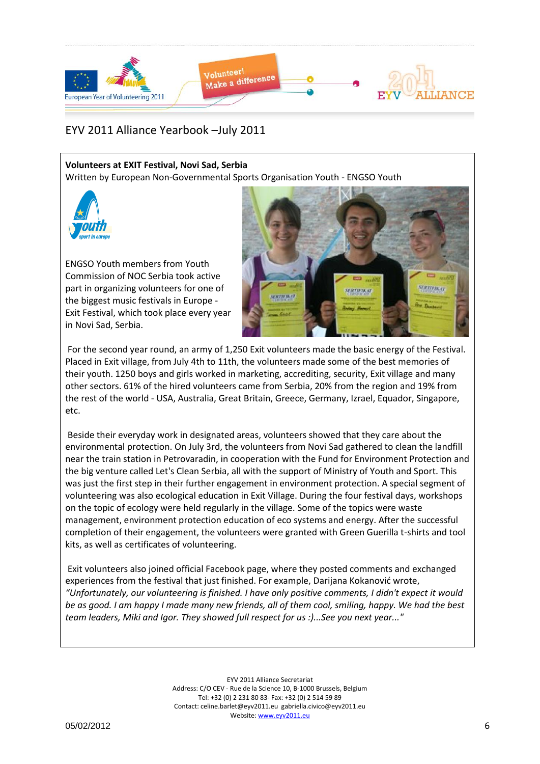

### **Volunteers at EXIT Festival, Novi Sad, Serbia**

Written by European Non-Governmental Sports Organisation Youth - ENGSO Youth



ENGSO Youth members from Youth Commission of NOC Serbia took active part in organizing volunteers for one of the biggest music festivals in Europe - Exit Festival, which took place every year in Novi Sad, Serbia.



For the second year round, an army of 1,250 Exit volunteers made the basic energy of the Festival. Placed in Exit village, from July 4th to 11th, the volunteers made some of the best memories of their youth. 1250 boys and girls worked in marketing, accrediting, security, Exit village and many other sectors. 61% of the hired volunteers came from Serbia, 20% from the region and 19% from the rest of the world - USA, Australia, Great Britain, Greece, Germany, Izrael, Equador, Singapore, etc.

Beside their everyday work in designated areas, volunteers showed that they care about the environmental protection. On July 3rd, the volunteers from Novi Sad gathered to clean the landfill near the train station in Petrovaradin, in cooperation with the Fund for Environment Protection and the big venture called Let's Clean Serbia, all with the support of Ministry of Youth and Sport. This was just the first step in their further engagement in environment protection. A special segment of volunteering was also ecological education in Exit Village. During the four festival days, workshops on the topic of ecology were held regularly in the village. Some of the topics were waste management, environment protection education of eco systems and energy. After the successful completion of their engagement, the volunteers were granted with Green Guerilla t-shirts and tool kits, as well as certificates of volunteering.

Exit volunteers also joined official Facebook page, where they posted comments and exchanged experiences from the festival that just finished. For example, Darijana Kokanović wrote, *"Unfortunately, our volunteering is finished. I have only positive comments, I didn't expect it would be as good. I am happy I made many new friends, all of them cool, smiling, happy. We had the best team leaders, Miki and Igor. They showed full respect for us :)...See you next year..."*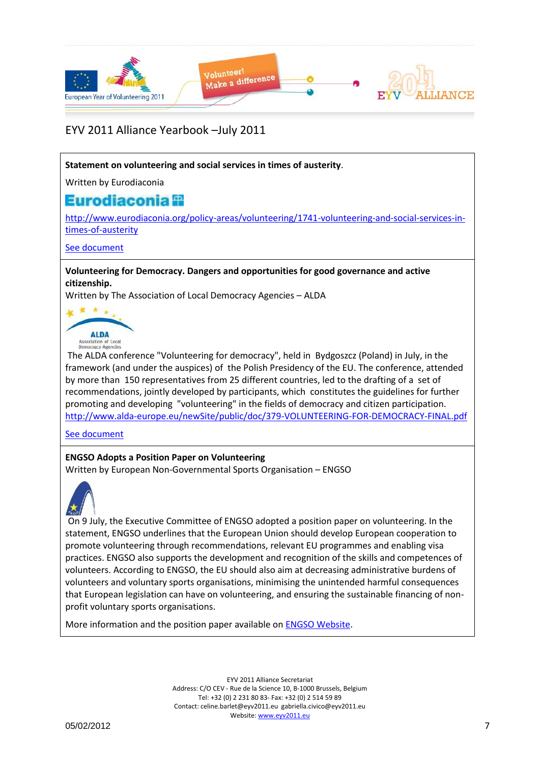

#### **Statement on volunteering and social services in times of austerity**.

Written by Eurodiaconia

## Eurodiaconia **il**

[http://www.eurodiaconia.org/policy-areas/volunteering/1741-volunteering-and-social-services-in](http://www.eurodiaconia.org/policy-areas/volunteering/1741-volunteering-and-social-services-in-times-of-austerity)[times-of-austerity](http://www.eurodiaconia.org/policy-areas/volunteering/1741-volunteering-and-social-services-in-times-of-austerity)

#### [See document](Yearbook_Jul2011_Docs/volunteering_and_social_services_in_times_of_austerity_Eurodiaconia.pdf)

**Volunteering for Democracy. Dangers and opportunities for good governance and active citizenship.**

Written by The Association of Local Democracy Agencies – ALDA



The ALDA conference "Volunteering for democracy", held in Bydgoszcz (Poland) in July, in the framework (and under the auspices) of the Polish Presidency of the EU. The conference, attended by more than 150 representatives from 25 different countries, led to the drafting of a set of recommendations, jointly developed by participants, which constitutes the guidelines for further promoting and developing "volunteering" in the fields of democracy and citizen participation. <http://www.alda-europe.eu/newSite/public/doc/379-VOLUNTEERING-FOR-DEMOCRACY-FINAL.pdf>

[See document](Yearbook_Jul2011_Docs/528_379_VOLUNTEERING_FOR_DEMOCRACY_FINAL_ALDA.pdf)

#### **ENGSO Adopts a Position Paper on Volunteering**

Written by European Non-Governmental Sports Organisation – ENGSO



On 9 July, the Executive Committee of ENGSO adopted a position paper on volunteering. In the statement, ENGSO underlines that the European Union should develop European cooperation to promote volunteering through recommendations, relevant EU programmes and enabling visa practices. ENGSO also supports the development and recognition of the skills and competences of volunteers. According to ENGSO, the EU should also aim at decreasing administrative burdens of volunteers and voluntary sports organisations, minimising the unintended harmful consequences that European legislation can have on volunteering, and ensuring the sustainable financing of nonprofit voluntary sports organisations.

More information and the position paper available on [ENGSO Website.](http://www.engso.eu/clanek.php?id=66&tab=latest_news)